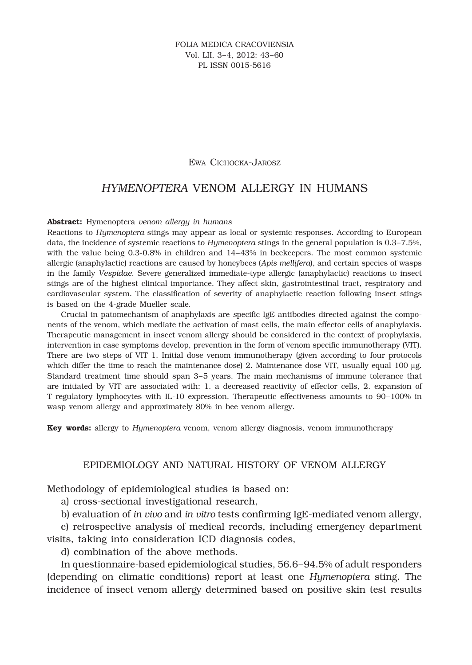#### Ewa Cichocka-Jarosz

# *HYMENOPTERA* VENOM ALLERGY IN HUMANS

#### **Abstract:** Hymenoptera *venom allergy in humans*

Reactions to *Hymenoptera* stings may appear as local or systemic responses. According to European data, the incidence of systemic reactions to *Hymenoptera* stings in the general population is 0.3–7.5%, with the value being 0.3-0.8% in children and 14-43% in beekeepers. The most common systemic allergic (anaphylactic) reactions are caused by honeybees (*Apis mellifera*), and certain species of wasps in the family *Vespidae*. Severe generalized immediate-type allergic (anaphylactic) reactions to insect stings are of the highest clinical importance. They affect skin, gastrointestinal tract, respiratory and cardiovascular system. The classification of severity of anaphylactic reaction following insect stings is based on the 4-grade Mueller scale.

Crucial in patomechanism of anaphylaxis are *s*pecific IgE antibodies directed against the components of the venom, which mediate the activation of mast cells, the main effector cells of anaphylaxis. Therapeutic management in insect venom allergy should be considered in the context of prophylaxis, intervention in case symptoms develop, prevention in the form of venom specific immunotherapy (VIT). There are two steps of VIT 1. Initial dose venom immunotherapy (given according to four protocols which differ the time to reach the maintenance dose) 2. Maintenance dose VIT, usually equal 100 µg. Standard treatment time should span 3–5 years. The main mechanisms of immune tolerance that are initiated by VIT are associated with: 1. a decreased reactivity of effector cells, 2. expansion of T regulatory lymphocytes with IL-10 expression. Therapeutic effectiveness amounts to 90–100% in wasp venom allergy and approximately 80% in bee venom allergy.

**Key words:** allergy to *Hymenoptera* venom, venom allergy diagnosis, venom immunotherapy

## EPIDEMIOLOGY AND NATURAL HISTORY OF VENOM ALLERGY

Methodology of epidemiological studies is based on:

a) cross-sectional investigational research,

b) evaluation of *in vivo* and *in vitro* tests confirming IgE-mediated venom allergy,

c) retrospective analysis of medical records, including emergency department visits, taking into consideration ICD diagnosis codes,

d) combination of the above methods.

In questionnaire-based epidemiological studies, 56.6–94.5% of adult responders (depending on climatic conditions) report at least one *Hymenoptera* sting. The incidence of insect venom allergy determined based on positive skin test results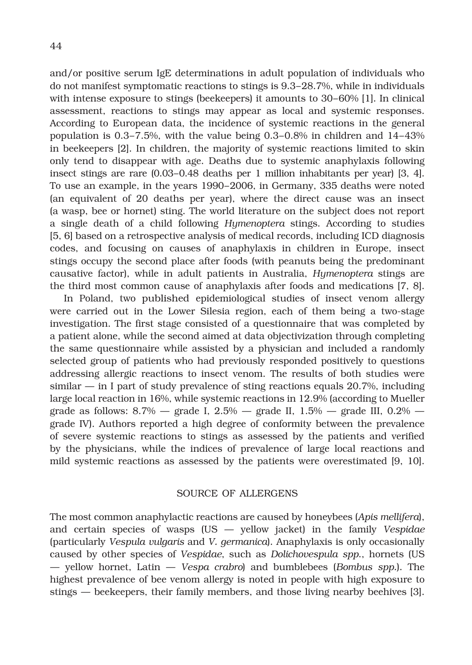and/or positive serum IgE determinations in adult population of individuals who do not manifest symptomatic reactions to stings is 9.3–28.7%, while in individuals with intense exposure to stings (beekeepers) it amounts to 30–60% [1]. In clinical assessment, reactions to stings may appear as local and systemic responses. According to European data, the incidence of systemic reactions in the general population is 0.3–7.5%, with the value being 0.3–0.8% in children and 14–43% in beekeepers [2]. In children, the majority of systemic reactions limited to skin only tend to disappear with age. Deaths due to systemic anaphylaxis following insect stings are rare (0.03–0.48 deaths per 1 million inhabitants per year) [3, 4]. To use an example, in the years 1990–2006, in Germany, 335 deaths were noted (an equivalent of 20 deaths per year), where the direct cause was an insect (a wasp, bee or hornet) sting. The world literature on the subject does not report a single death of a child following *Hymenoptera* stings. According to studies [5, 6] based on a retrospective analysis of medical records, including ICD diagnosis codes, and focusing on causes of anaphylaxis in children in Europe, insect stings occupy the second place after foods (with peanuts being the predominant causative factor), while in adult patients in Australia, *Hymenoptera* stings are the third most common cause of anaphylaxis after foods and medications [7, 8].

In Poland, two published epidemiological studies of insect venom allergy were carried out in the Lower Silesia region, each of them being a two-stage investigation. The first stage consisted of a questionnaire that was completed by a patient alone, while the second aimed at data objectivization through completing the same questionnaire while assisted by a physician and included a randomly selected group of patients who had previously responded positively to questions addressing allergic reactions to insect venom. The results of both studies were similar — in I part of study prevalence of sting reactions equals 20.7%, including large local reaction in 16%, while systemic reactions in 12.9% (according to Mueller grade as follows:  $8.7\%$  — grade I,  $2.5\%$  — grade II,  $1.5\%$  — grade III,  $0.2\%$  grade IV). Authors reported a high degree of conformity between the prevalence of severe systemic reactions to stings as assessed by the patients and verified by the physicians, while the indices of prevalence of large local reactions and mild systemic reactions as assessed by the patients were overestimated [9, 10].

## SOURCE OF ALLERGENS

The most common anaphylactic reactions are caused by honeybees (*Apis mellifera*), and certain species of wasps (US — yellow jacket) in the family *Vespidae* (particularly *Vespula vulgaris* and *V. germanica*). Anaphylaxis is only occasionally caused by other species of *Vespidae*, such as *Dolichovespula spp*., hornets (US — yellow hornet, Latin — *Vespa crabro*) and bumblebees (*Bombus spp.*). The highest prevalence of bee venom allergy is noted in people with high exposure to stings — beekeepers, their family members, and those living nearby beehives [3].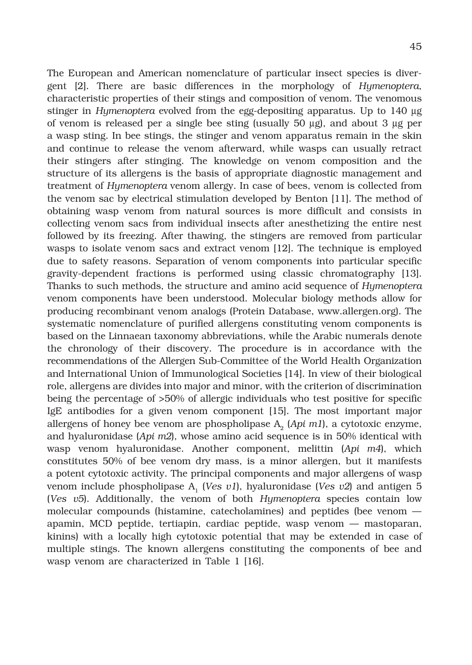The European and American nomenclature of particular insect species is divergent [2]. There are basic differences in the morphology of *Hymenoptera*, characteristic properties of their stings and composition of venom. The venomous stinger in *Hymenoptera* evolved from the egg-depositing apparatus. Up to 140 g of venom is released per a single bee sting (usually  $50 \mu$ g), and about  $3 \mu$ g per a wasp sting. In bee stings, the stinger and venom apparatus remain in the skin and continue to release the venom afterward, while wasps can usually retract their stingers after stinging. The knowledge on venom composition and the structure of its allergens is the basis of appropriate diagnostic management and treatment of *Hymenoptera* venom allergy. In case of bees, venom is collected from the venom sac by electrical stimulation developed by Benton [11]. The method of obtaining wasp venom from natural sources is more difficult and consists in collecting venom sacs from individual insects after anesthetizing the entire nest followed by its freezing. After thawing, the stingers are removed from particular wasps to isolate venom sacs and extract venom [12]. The technique is employed due to safety reasons. Separation of venom components into particular specific gravity-dependent fractions is performed using classic chromatography [13]. Thanks to such methods, the structure and amino acid sequence of *Hymenoptera*  venom components have been understood. Molecular biology methods allow for producing recombinant venom analogs (Protein Database, www.allergen.org). The systematic nomenclature of purified allergens constituting venom components is based on the Linnaean taxonomy abbreviations, while the Arabic numerals denote the chronology of their discovery. The procedure is in accordance with the recommendations of the Allergen Sub-Committee of the World Health Organization and International Union of Immunological Societies [14]. In view of their biological role, allergens are divides into major and minor, with the criterion of discrimination being the percentage of >50% of allergic individuals who test positive for specific IgE antibodies for a given venom component [15]. The most important major allergens of honey bee venom are phospholipase  $A_2$  ( $Api$  m1), a cytotoxic enzyme, and hyaluronidase (*Api m2*), whose amino acid sequence is in 50% identical with wasp venom hyaluronidase. Another component, melittin (*Api m4*), which constitutes 50% of bee venom dry mass, is a minor allergen, but it manifests a potent cytotoxic activity. The principal components and major allergens of wasp venom include phospholipase A1 (*Ves v1*), hyaluronidase (*Ves v2*) and antigen 5 (*Ves v5*). Additionally, the venom of both *Hymenoptera* species contain low molecular compounds (histamine, catecholamines) and peptides (bee venom apamin, MCD peptide, tertiapin, cardiac peptide, wasp venom — mastoparan, kinins) with a locally high cytotoxic potential that may be extended in case of multiple stings. The known allergens constituting the components of bee and wasp venom are characterized in Table 1 [16].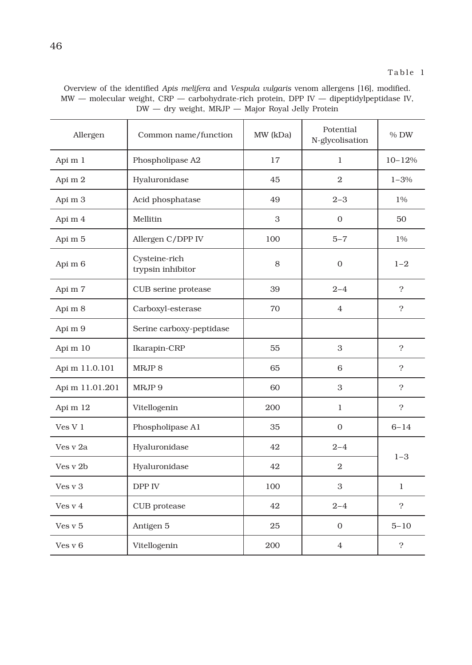| Overview of the identified Apis melifera and Vespula vulgaris venom allergens [16], modified.  |  |
|------------------------------------------------------------------------------------------------|--|
| $MW$ — molecular weight, $CRP$ — carbohydrate-rich protein, DPP $IV$ — dipeptidylpeptidase IV, |  |
| $DW -$ dry weight, MRJP $-$ Major Royal Jelly Protein                                          |  |

| Allergen        | Common name/function               | MW (kDa) | Potential<br>N-glycolisation | % DW          |  |
|-----------------|------------------------------------|----------|------------------------------|---------------|--|
| Api m 1         | Phospholipase A2                   | 17       | $\mathbf{1}$                 | $10 - 12%$    |  |
| Api m 2         | Hyaluronidase                      | 45       | $\overline{2}$               | $1 - 3%$      |  |
| Api m 3         | Acid phosphatase                   | 49       | $2 - 3$                      | 1%            |  |
| Api m 4         | Mellitin                           | 3        | $\mathbf{0}$                 | 50            |  |
| Api m 5         | Allergen C/DPP IV                  | 100      | $5 - 7$                      | 1%            |  |
| Api m 6         | Cysteine-rich<br>trypsin inhibitor | 8        | $\Omega$                     | $1 - 2$       |  |
| Api m 7         | CUB serine protease                | 39       | $2 - 4$                      | $\mathcal{P}$ |  |
| Api m 8         | Carboxyl-esterase                  | 70       | $\overline{4}$               | $\mathcal{P}$ |  |
| Api m 9         | Serine carboxy-peptidase           |          |                              |               |  |
| Api m 10        | Ikarapin-CRP                       | 55       | 3                            | $\mathcal{P}$ |  |
| Api m 11.0.101  | MRJP <sub>8</sub>                  | 65       | 6                            | 2             |  |
| Api m 11.01.201 | MRJP 9                             | 60       | 3                            | $\mathcal{P}$ |  |
| Api m 12        | Vitellogenin                       | 200      | $\mathbf{1}$                 | $\mathcal{P}$ |  |
| VesV1           | Phospholipase A1                   | 35       | $\Omega$                     | $6 - 14$      |  |
| Ves v 2a        | Hyaluronidase                      | 42       | $2 - 4$                      |               |  |
| Ves v 2b        | Hyaluronidase                      | 42       | $\overline{2}$               | $1 - 3$       |  |
| Ves v 3         | DPP IV                             | 100      | 3                            | $\mathbf{1}$  |  |
| Ves v 4         | CUB protease                       | 42       | $2 - 4$                      | $\mathcal{P}$ |  |
| Ves v 5         | Antigen 5                          | 25       | $\theta$                     | $5 - 10$      |  |
| Ves y 6         | Vitellogenin                       | 200      | $\overline{4}$               | $\tilde{?}$   |  |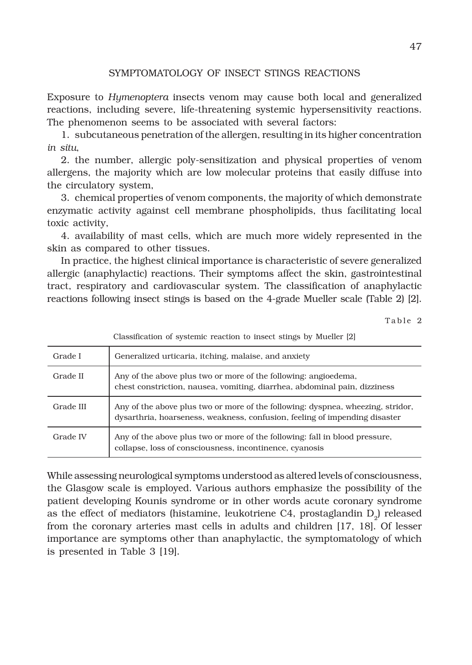# SYMPTOMATOLOGY OF INSECT STINGS REACTIONS

Exposure to *Hymenoptera* insects venom may cause both local and generalized reactions, including severe, life-threatening systemic hypersensitivity reactions. The phenomenon seems to be associated with several factors:

1. subcutaneous penetration of the allergen, resulting in its higher concentration *in situ*,

2. the number, allergic poly-sensitization and physical properties of venom allergens, the majority which are low molecular proteins that easily diffuse into the circulatory system,

3. chemical properties of venom components, the majority of which demonstrate enzymatic activity against cell membrane phospholipids, thus facilitating local toxic activity,

4. availability of mast cells, which are much more widely represented in the skin as compared to other tissues.

In practice, the highest clinical importance is characteristic of severe generalized allergic (anaphylactic) reactions. Their symptoms affect the skin, gastrointestinal tract, respiratory and cardiovascular system. The classification of anaphylactic reactions following insect stings is based on the 4-grade Mueller scale (Table 2) [2].

Table 2

|           | Classification of systemic reaction to insect stings by Mueller [2]                                                                                           |
|-----------|---------------------------------------------------------------------------------------------------------------------------------------------------------------|
| Grade I   | Generalized urticaria, itching, malaise, and anxiety                                                                                                          |
| Grade II  | Any of the above plus two or more of the following: angioedema,<br>chest constriction, nausea, vomiting, diarrhea, abdominal pain, dizziness                  |
| Grade III | Any of the above plus two or more of the following: dyspnea, wheezing, stridor,<br>dysarthria, hoarseness, weakness, confusion, feeling of impending disaster |
| Grade IV  | Any of the above plus two or more of the following: fall in blood pressure,<br>collapse, loss of consciousness, incontinence, cyanosis                        |

While assessing neurological symptoms understood as altered levels of consciousness, the Glasgow scale is employed. Various authors emphasize the possibility of the patient developing Kounis syndrome or in other words acute coronary syndrome as the effect of mediators (histamine, leukotriene  $C4$ , prostaglandin  $D<sub>o</sub>$ ) released from the coronary arteries mast cells in adults and children [17, 18]. Of lesser importance are symptoms other than anaphylactic, the symptomatology of which is presented in Table 3 [19].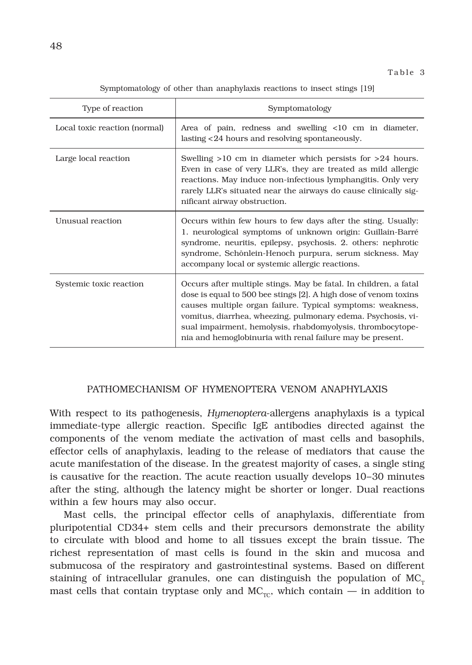| Type of reaction              | Symptomatology                                                                                                                                                                                                                                                                                                                                                                                |
|-------------------------------|-----------------------------------------------------------------------------------------------------------------------------------------------------------------------------------------------------------------------------------------------------------------------------------------------------------------------------------------------------------------------------------------------|
| Local toxic reaction (normal) | Area of pain, redness and swelling <10 cm in diameter,<br>lasting <24 hours and resolving spontaneously.                                                                                                                                                                                                                                                                                      |
| Large local reaction          | Swelling $>10$ cm in diameter which persists for $>24$ hours.<br>Even in case of very LLR's, they are treated as mild allergic<br>reactions. May induce non-infectious lymphangitis. Only very<br>rarely LLR's situated near the airways do cause clinically sig-<br>nificant airway obstruction.                                                                                             |
| Unusual reaction              | Occurs within few hours to few days after the sting. Usually:<br>1. neurological symptoms of unknown origin: Guillain-Barré<br>syndrome, neuritis, epilepsy, psychosis. 2. others: nephrotic<br>syndrome, Schönlein-Henoch purpura, serum sickness. May<br>accompany local or systemic allergic reactions.                                                                                    |
| Systemic toxic reaction       | Occurs after multiple stings. May be fatal. In children, a fatal<br>dose is equal to 500 bee stings [2]. A high dose of venom toxins<br>causes multiple organ failure. Typical symptoms: weakness,<br>vomitus, diarrhea, wheezing, pulmonary edema. Psychosis, vi-<br>sual impairment, hemolysis, rhabdomyolysis, thrombocytope-<br>nia and hemoglobinuria with renal failure may be present. |

### PATHOMECHANISM OF HYMENOPTERA VENOM ANAPHYLAXIS

With respect to its pathogenesis, *Hymenoptera*-allergens anaphylaxis is a typical immediate-type allergic reaction. Specific IgE antibodies directed against the components of the venom mediate the activation of mast cells and basophils, effector cells of anaphylaxis, leading to the release of mediators that cause the acute manifestation of the disease. In the greatest majority of cases, a single sting is causative for the reaction. The acute reaction usually develops 10–30 minutes after the sting, although the latency might be shorter or longer. Dual reactions within a few hours may also occur.

Mast cells, the principal effector cells of anaphylaxis, differentiate from pluripotential CD34+ stem cells and their precursors demonstrate the ability to circulate with blood and home to all tissues except the brain tissue. The richest representation of mast cells is found in the skin and mucosa and submucosa of the respiratory and gastrointestinal systems. Based on different staining of intracellular granules, one can distinguish the population of  $MC<sub>r</sub>$ mast cells that contain tryptase only and  $MC_{\text{TC}}$ , which contain — in addition to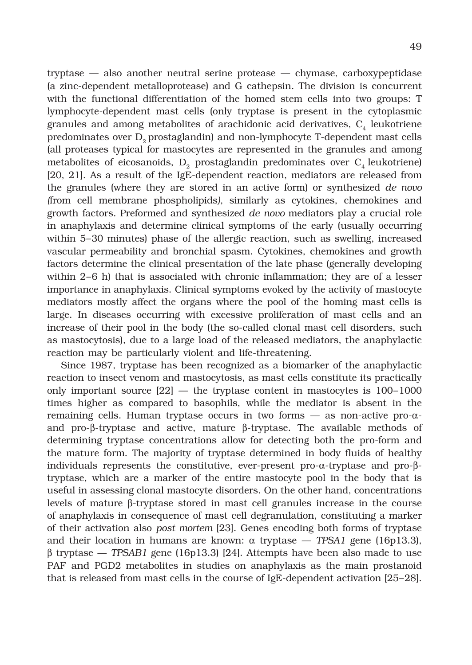tryptase — also another neutral serine protease — chymase, carboxypeptidase (a zinc-dependent metalloprotease) and G cathepsin. The division is concurrent with the functional differentiation of the homed stem cells into two groups: T lymphocyte-dependent mast cells (only tryptase is present in the cytoplasmic granules and among metabolites of arachidonic acid derivatives,  $C_4$  leukotriene predominates over D<sub>2</sub> prostaglandin) and non-lymphocyte T-dependent mast cells (all proteases typical for mastocytes are represented in the granules and among metabolites of eicosanoids,  $D<sub>2</sub>$  prostaglandin predominates over  $C<sub>4</sub>$  leukotriene) [20, 21]. As a result of the IgE-dependent reaction, mediators are released from the granules (where they are stored in an active form) or synthesized *de novo (*from cell membrane phospholipids*),* similarly as cytokines, chemokines and growth factors. Preformed and synthesized *de novo* mediators play a crucial role in anaphylaxis and determine clinical symptoms of the early (usually occurring within 5–30 minutes) phase of the allergic reaction, such as swelling, increased vascular permeability and bronchial spasm. Cytokines, chemokines and growth factors determine the clinical presentation of the late phase (generally developing within 2–6 h) that is associated with chronic inflammation; they are of a lesser importance in anaphylaxis. Clinical symptoms evoked by the activity of mastocyte mediators mostly affect the organs where the pool of the homing mast cells is large. In diseases occurring with excessive proliferation of mast cells and an increase of their pool in the body (the so-called clonal mast cell disorders, such as mastocytosis), due to a large load of the released mediators, the anaphylactic reaction may be particularly violent and life-threatening.

Since 1987, tryptase has been recognized as a biomarker of the anaphylactic reaction to insect venom and mastocytosis, as mast cells constitute its practically only important source  $[22]$  — the tryptase content in mastocytes is  $100-1000$ times higher as compared to basophils, while the mediator is absent in the remaining cells. Human tryptase occurs in two forms  $-$  as non-active pro- $\alpha$ and pro- $\beta$ -tryptase and active, mature  $\beta$ -tryptase. The available methods of determining tryptase concentrations allow for detecting both the pro-form and the mature form. The majority of tryptase determined in body fluids of healthy individuals represents the constitutive, ever-present pro- $\alpha$ -tryptase and pro- $\beta$ tryptase, which are a marker of the entire mastocyte pool in the body that is useful in assessing clonal mastocyte disorders. On the other hand, concentrations levels of mature  $\beta$ -tryptase stored in mast cell granules increase in the course of anaphylaxis in consequence of mast cell degranulation, constituting a marker of their activation also *post mortem* [23]. Genes encoding both forms of tryptase and their location in humans are known:  $\alpha$  tryptase  $-$  *TPSA1* gene (16p13.3),  $\beta$  tryptase — *TPSAB1* gene (16p13.3) [24]. Attempts have been also made to use PAF and PGD2 metabolites in studies on anaphylaxis as the main prostanoid that is released from mast cells in the course of IgE-dependent activation [25–28].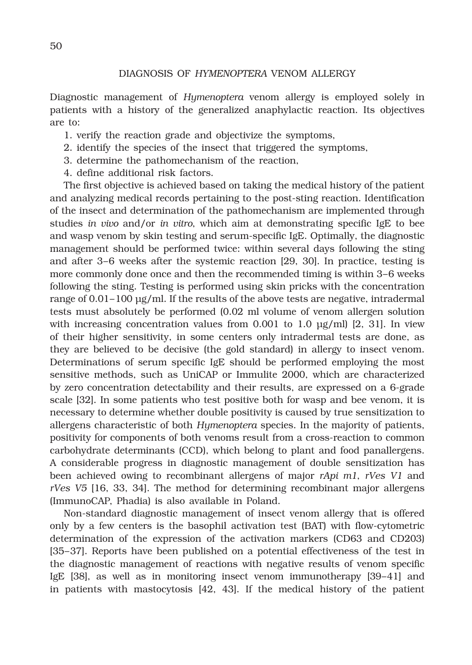#### DIAGNOSIS OF *HYMENOPTERA* VENOM ALLERGY

Diagnostic management of *Hymenoptera* venom allergy is employed solely in patients with a history of the generalized anaphylactic reaction. Its objectives are to:

- 1. verify the reaction grade and objectivize the symptoms,
- 2. identify the species of the insect that triggered the symptoms,
- 3. determine the pathomechanism of the reaction,
- 4. define additional risk factors.

The first objective is achieved based on taking the medical history of the patient and analyzing medical records pertaining to the post-sting reaction. Identification of the insect and determination of the pathomechanism are implemented through studies *in vivo* and/or *in vitro*, which aim at demonstrating specific IgE to bee and wasp venom by skin testing and serum-specific IgE. Optimally, the diagnostic management should be performed twice: within several days following the sting and after 3–6 weeks after the systemic reaction [29, 30]. In practice, testing is more commonly done once and then the recommended timing is within 3–6 weeks following the sting. Testing is performed using skin pricks with the concentration range of 0.01–100 μg/ml. If the results of the above tests are negative, intradermal tests must absolutely be performed (0.02 ml volume of venom allergen solution with increasing concentration values from  $0.001$  to  $1.0 \mu g/ml$  [2, 31]. In view of their higher sensitivity, in some centers only intradermal tests are done, as they are believed to be decisive (the gold standard) in allergy to insect venom. Determinations of serum specific IgE should be performed employing the most sensitive methods, such as UniCAP or Immulite 2000, which are characterized by zero concentration detectability and their results, are expressed on a 6-grade scale [32]. In some patients who test positive both for wasp and bee venom, it is necessary to determine whether double positivity is caused by true sensitization to allergens characteristic of both *Hymenoptera* species. In the majority of patients, positivity for components of both venoms result from a cross-reaction to common carbohydrate determinants (CCD), which belong to plant and food panallergens. A considerable progress in diagnostic management of double sensitization has been achieved owing to recombinant allergens of major *rApi m1*, *rVes V1* and *rVes V5* [16, 33, 34]. The method for determining recombinant major allergens (ImmunoCAP, Phadia) is also available in Poland.

Non-standard diagnostic management of insect venom allergy that is offered only by a few centers is the basophil activation test (BAT) with flow-cytometric determination of the expression of the activation markers (CD63 and CD203) [35–37]. Reports have been published on a potential effectiveness of the test in the diagnostic management of reactions with negative results of venom specific IgE [38], as well as in monitoring insect venom immunotherapy [39–41] and in patients with mastocytosis [42, 43]. If the medical history of the patient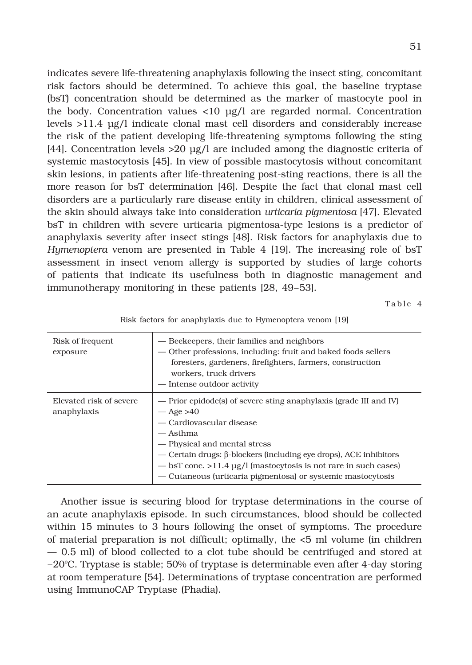indicates severe life-threatening anaphylaxis following the insect sting, concomitant risk factors should be determined. To achieve this goal, the baseline tryptase (bsT) concentration should be determined as the marker of mastocyte pool in the body. Concentration values <10 μg/l are regarded normal. Concentration levels >11.4 μg/l indicate clonal mast cell disorders and considerably increase the risk of the patient developing life-threatening symptoms following the sting [44]. Concentration levels >20 μg/l are included among the diagnostic criteria of systemic mastocytosis [45]. In view of possible mastocytosis without concomitant skin lesions, in patients after life-threatening post-sting reactions, there is all the more reason for bsT determination [46]. Despite the fact that clonal mast cell disorders are a particularly rare disease entity in children, clinical assessment of the skin should always take into consideration *urticaria pigmentosa* [47]. Elevated bsT in children with severe urticaria pigmentosa-type lesions is a predictor of anaphylaxis severity after insect stings [48]. Risk factors for anaphylaxis due to *Hymenoptera* venom are presented in Table 4 [19]. The increasing role of bsT assessment in insect venom allergy is supported by studies of large cohorts of patients that indicate its usefulness both in diagnostic management and immunotherapy monitoring in these patients [28, 49–53].

Table 4

| Risk of frequent<br>exposure           | — Beekeepers, their families and neighbors<br>— Other professions, including: fruit and baked foods sellers<br>foresters, gardeners, firefighters, farmers, construction<br>workers, truck drivers<br>- Intense outdoor activity                                                                                                                                                       |
|----------------------------------------|----------------------------------------------------------------------------------------------------------------------------------------------------------------------------------------------------------------------------------------------------------------------------------------------------------------------------------------------------------------------------------------|
| Elevated risk of severe<br>anaphylaxis | — Prior epidode(s) of severe sting anaphylaxis (grade III and IV)<br>$-\text{Age} > 40$<br>- Cardiovascular disease<br>— Asthma<br>- Physical and mental stress<br>$-$ Certain drugs: $\beta$ -blockers (including eye drops), ACE inhibitors<br>$-$ bsT conc. >11.4 $\mu$ g/l (mastocytosis is not rare in such cases)<br>— Cutaneous (urticaria pigmentosa) or systemic mastocytosis |

Risk factors for anaphylaxis due to Hymenoptera venom [19]

Another issue is securing blood for tryptase determinations in the course of an acute anaphylaxis episode. In such circumstances, blood should be collected within 15 minutes to 3 hours following the onset of symptoms. The procedure of material preparation is not difficult; optimally, the <5 ml volume (in children — 0.5 ml) of blood collected to a clot tube should be centrifuged and stored at  $-20^{\circ}$ C. Tryptase is stable; 50% of tryptase is determinable even after 4-day storing at room temperature [54]. Determinations of tryptase concentration are performed using ImmunoCAP Tryptase (Phadia).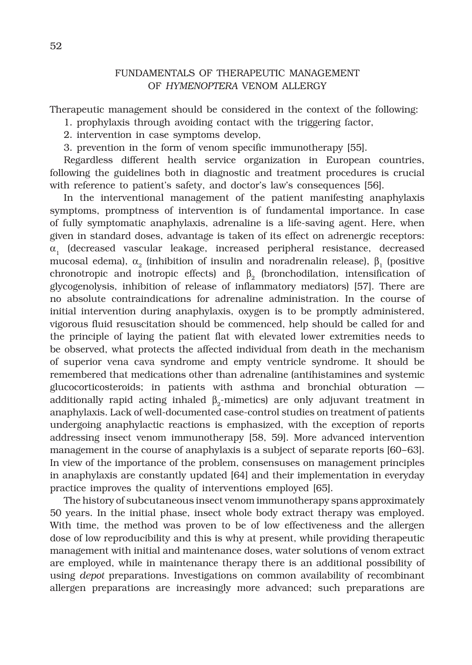# FUNDAMENTALS OF THERAPEUTIC MANAGEMENT OF *HYMENOPTERA* VENOM ALLERGY

Therapeutic management should be considered in the context of the following:

- 1. prophylaxis through avoiding contact with the triggering factor,
- 2. intervention in case symptoms develop,
- 3. prevention in the form of venom specific immunotherapy [55].

Regardless different health service organization in European countries, following the guidelines both in diagnostic and treatment procedures is crucial with reference to patient's safety, and doctor's law's consequences [56].

In the interventional management of the patient manifesting anaphylaxis symptoms, promptness of intervention is of fundamental importance. In case of fully symptomatic anaphylaxis, adrenaline is a life-saving agent. Here, when given in standard doses, advantage is taken of its effect on adrenergic receptors:  $\alpha$ , (decreased vascular leakage, increased peripheral resistance, decreased mucosal edema),  $\alpha_{0}$  (inhibition of insulin and noradrenalin release),  $\beta_{1}$  (positive chronotropic and inotropic effects) and  $\beta$ , (bronchodilation, intensification of glycogenolysis, inhibition of release of inflammatory mediators) [57]. There are no absolute contraindications for adrenaline administration. In the course of initial intervention during anaphylaxis, oxygen is to be promptly administered, vigorous fluid resuscitation should be commenced, help should be called for and the principle of laying the patient flat with elevated lower extremities needs to be observed, what protects the affected individual from death in the mechanism of superior vena cava syndrome and empty ventricle syndrome. It should be remembered that medications other than adrenaline (antihistamines and systemic glucocorticosteroids; in patients with asthma and bronchial obturation additionally rapid acting inhaled  $\beta$ -mimetics) are only adjuvant treatment in anaphylaxis. Lack of well-documented case-control studies on treatment of patients undergoing anaphylactic reactions is emphasized, with the exception of reports addressing insect venom immunotherapy [58, 59]. More advanced intervention management in the course of anaphylaxis is a subject of separate reports [60–63]. In view of the importance of the problem, consensuses on management principles in anaphylaxis are constantly updated [64] and their implementation in everyday practice improves the quality of interventions employed [65].

The history of subcutaneous insect venom immunotherapy spans approximately 50 years. In the initial phase, insect whole body extract therapy was employed. With time, the method was proven to be of low effectiveness and the allergen dose of low reproducibility and this is why at present, while providing therapeutic management with initial and maintenance doses, water solutions of venom extract are employed, while in maintenance therapy there is an additional possibility of using *depot* preparations. Investigations on common availability of recombinant allergen preparations are increasingly more advanced; such preparations are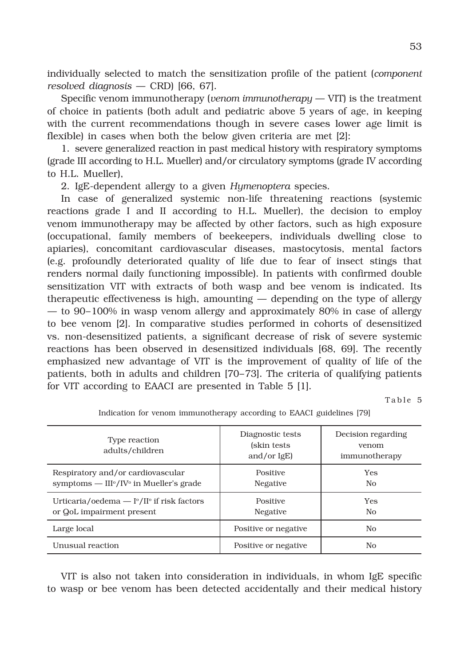individually selected to match the sensitization profile of the patient (*component resolved diagnosis* — CRD) [66, 67].

Specific venom immunotherapy (*venom immunotherapy* — VIT) is the treatment of choice in patients (both adult and pediatric above 5 years of age, in keeping with the current recommendations though in severe cases lower age limit is flexible) in cases when both the below given criteria are met [2]:

1. severe generalized reaction in past medical history with respiratory symptoms (grade III according to H.L. Mueller) and/or circulatory symptoms (grade IV according to H.L. Mueller),

2. IgE-dependent allergy to a given *Hymenoptera* species.

In case of generalized systemic non-life threatening reactions (systemic reactions grade I and II according to H.L. Mueller), the decision to employ venom immunotherapy may be affected by other factors, such as high exposure (occupational, family members of beekeepers, individuals dwelling close to apiaries), concomitant cardiovascular diseases, mastocytosis, mental factors (e.g. profoundly deteriorated quality of life due to fear of insect stings that renders normal daily functioning impossible). In patients with confirmed double sensitization VIT with extracts of both wasp and bee venom is indicated. Its therapeutic effectiveness is high, amounting — depending on the type of allergy — to 90–100% in wasp venom allergy and approximately 80% in case of allergy to bee venom [2]. In comparative studies performed in cohorts of desensitized vs. non-desensitized patients, a significant decrease of risk of severe systemic reactions has been observed in desensitized individuals [68, 69]. The recently emphasized new advantage of VIT is the improvement of quality of life of the patients, both in adults and children [70–73]. The criteria of qualifying patients for VIT according to EAACI are presented in Table 5 [1].

Table 5

| Type reaction<br>adults/children                                                                      | Diagnostic tests<br>(skin tests)<br>and/or $IgE$ ) | Decision regarding<br>venom<br>immunotherapy |
|-------------------------------------------------------------------------------------------------------|----------------------------------------------------|----------------------------------------------|
| Respiratory and/or cardiovascular<br>symptoms — $III^{\circ}/IV^{\circ}$ in Mueller's grade           | Positive<br>Negative                               | <b>Yes</b><br>N <sub>0</sub>                 |
| Urticaria/oedema $ \Gamma$ <sup>o</sup> /II <sup>o</sup> if risk factors<br>or QoL impairment present | Positive<br>Negative                               | <b>Yes</b><br>N <sub>0</sub>                 |
| Large local                                                                                           | Positive or negative                               | No                                           |
| Unusual reaction                                                                                      | Positive or negative                               | No                                           |

Indication for venom immunotherapy according to EAACI guidelines [79]

VIT is also not taken into consideration in individuals, in whom IgE specific to wasp or bee venom has been detected accidentally and their medical history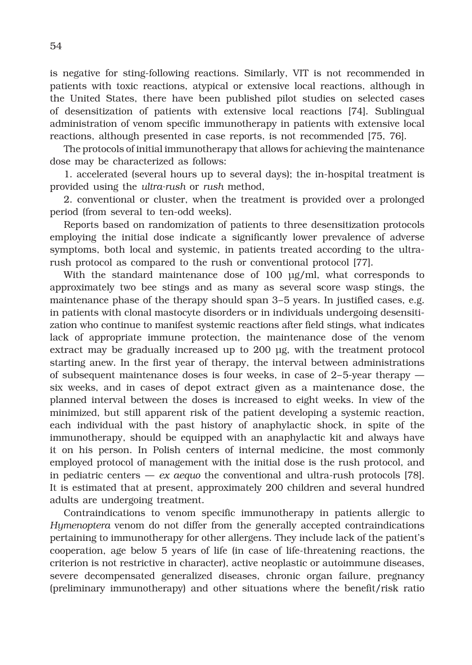is negative for sting-following reactions. Similarly, VIT is not recommended in patients with toxic reactions, atypical or extensive local reactions, although in the United States, there have been published pilot studies on selected cases of desensitization of patients with extensive local reactions [74]. Sublingual administration of venom specific immunotherapy in patients with extensive local reactions, although presented in case reports, is not recommended [75, 76].

The protocols of initial immunotherapy that allows for achieving the maintenance dose may be characterized as follows:

1. accelerated (several hours up to several days); the in-hospital treatment is provided using the *ultra-rush* or *rush* method,

2. conventional or cluster, when the treatment is provided over a prolonged period (from several to ten-odd weeks).

Reports based on randomization of patients to three desensitization protocols employing the initial dose indicate a significantly lower prevalence of adverse symptoms, both local and systemic, in patients treated according to the ultrarush protocol as compared to the rush or conventional protocol [77].

With the standard maintenance dose of 100 μg/ml, what corresponds to approximately two bee stings and as many as several score wasp stings, the maintenance phase of the therapy should span 3–5 years. In justified cases, e.g. in patients with clonal mastocyte disorders or in individuals undergoing desensitization who continue to manifest systemic reactions after field stings, what indicates lack of appropriate immune protection, the maintenance dose of the venom extract may be gradually increased up to 200 μg, with the treatment protocol starting anew. In the first year of therapy, the interval between administrations of subsequent maintenance doses is four weeks, in case of 2–5-year therapy six weeks, and in cases of depot extract given as a maintenance dose, the planned interval between the doses is increased to eight weeks. In view of the minimized, but still apparent risk of the patient developing a systemic reaction, each individual with the past history of anaphylactic shock, in spite of the immunotherapy, should be equipped with an anaphylactic kit and always have it on his person. In Polish centers of internal medicine, the most commonly employed protocol of management with the initial dose is the rush protocol, and in pediatric centers — *ex aequo* the conventional and ultra-rush protocols [78]. It is estimated that at present, approximately 200 children and several hundred adults are undergoing treatment.

Contraindications to venom specific immunotherapy in patients allergic to *Hymenoptera* venom do not differ from the generally accepted contraindications pertaining to immunotherapy for other allergens. They include lack of the patient's cooperation, age below 5 years of life (in case of life-threatening reactions, the criterion is not restrictive in character), active neoplastic or autoimmune diseases, severe decompensated generalized diseases, chronic organ failure, pregnancy (preliminary immunotherapy) and other situations where the benefit/risk ratio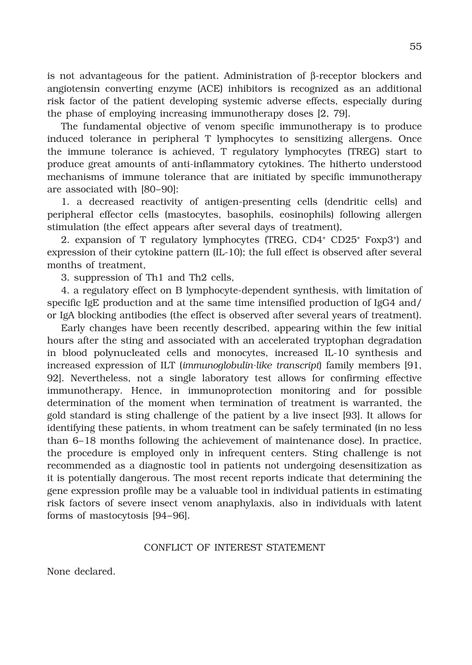is not advantageous for the patient. Administration of  $\beta$ -receptor blockers and angiotensin converting enzyme (ACE) inhibitors is recognized as an additional risk factor of the patient developing systemic adverse effects, especially during the phase of employing increasing immunotherapy doses [2, 79].

The fundamental objective of venom specific immunotherapy is to produce induced tolerance in peripheral T lymphocytes to sensitizing allergens. Once the immune tolerance is achieved, T regulatory lymphocytes (TREG) start to produce great amounts of anti-inflammatory cytokines. The hitherto understood mechanisms of immune tolerance that are initiated by specific immunotherapy are associated with [80–90]:

1. a decreased reactivity of antigen-presenting cells (dendritic cells) and peripheral effector cells (mastocytes, basophils, eosinophils) following allergen stimulation (the effect appears after several days of treatment),

2. expansion of T regulatory lymphocytes (TREG,  $CD4^+$  CD25<sup>+</sup> Foxp3<sup>+</sup>) and expression of their cytokine pattern (IL-10); the full effect is observed after several months of treatment,

3. suppression of Th1 and Th2 cells,

4. a regulatory effect on B lymphocyte-dependent synthesis, with limitation of specific IgE production and at the same time intensified production of IgG4 and/ or IgA blocking antibodies (the effect is observed after several years of treatment).

Early changes have been recently described, appearing within the few initial hours after the sting and associated with an accelerated tryptophan degradation in blood polynucleated cells and monocytes, increased IL-10 synthesis and increased expression of ILT (*immunoglobulin-like transcript*) family members [91, 92]. Nevertheless, not a single laboratory test allows for confirming effective immunotherapy. Hence, in immunoprotection monitoring and for possible determination of the moment when termination of treatment is warranted, the gold standard is sting challenge of the patient by a live insect [93]. It allows for identifying these patients, in whom treatment can be safely terminated (in no less than 6–18 months following the achievement of maintenance dose). In practice, the procedure is employed only in infrequent centers. Sting challenge is not recommended as a diagnostic tool in patients not undergoing desensitization as it is potentially dangerous. The most recent reports indicate that determining the gene expression profile may be a valuable tool in individual patients in estimating risk factors of severe insect venom anaphylaxis, also in individuals with latent forms of mastocytosis [94–96].

#### CONFLICT OF INTEREST STATEMENT

None declared.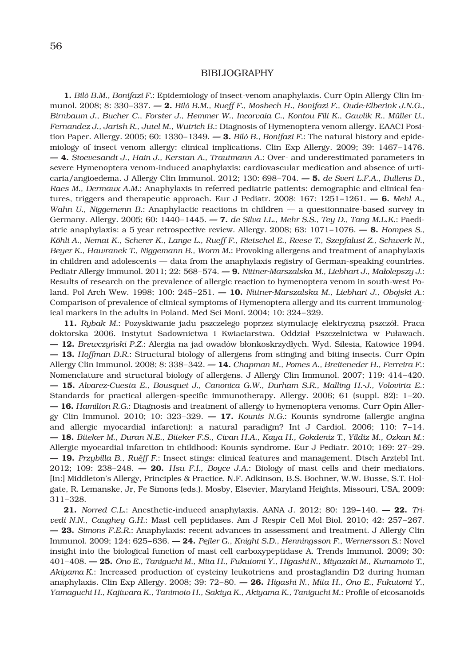#### BIBLIOGRAPHY

**1.** *Bilò B.M., Bonifazi F.*: Epidemiology of insect-venom anaphylaxis. Curr Opin Allergy Clin Immunol. 2008; 8: 330–337. **— 2.** *Bilò B.M., Rueff F., Mosbech H., Bonifazi F., Oude-Elberink J.N.G., Birnbaum J., Bucher C., Forster J., Hemmer W., Incorvaia C., Kontou Fili K., Gawlik R., Müller U., Fernandez J., Jarish R., Jutel M., Wutrich B.*: Diagnosis of Hymenoptera venom allergy. EAACI Position Paper. Allergy. 2005; 60: 1330–1349. **— 3.** *Bilò B., Bonifazi F.*: The natural history and epidemiology of insect venom allergy: clinical implications. Clin Exp Allergy. 2009; 39: 1467–1476. **— 4.** *Stoevesandt J., Hain J., Kerstan A., Trautmann A.*: Over- and underestimated parameters in severe Hymenoptera venom-induced anaphylaxis: cardiovascular medication and absence of urticaria/angioedema. J Allergy Clin Immunol. 2012; 130: 698–704. **— 5.** *de Svert L.F.A., Bullens D., Raes M., Dermaux A.M.*: Anaphylaxis in referred pediatric patients: demographic and clinical features, triggers and therapeutic approach. Eur J Pediatr. 2008; 167: 1251–1261. **— 6.** *Mehl A., Wahn U., Niggemenn B.*: Anaphylactic reactions in children — a questionnaire-based survey in Germany. Allergy. 2005; 60: 1440–1445. **— 7.** *de Silva I.L., Mehr S.S., Tey D., Tang M.L.K.*: Paediatric anaphylaxis: a 5 year retrospective review. Allergy. 2008; 63: 1071–1076. **— 8.** *Hompes S., Köhli A., Nemat K., Scherer K., Lange L., Rueff F., Rietschel E., Reese T., Szepfalusi Z., Schwerk N., Beyer K., Hawranek T., Niggemann B., Worm M.*: Provoking allergens and treatment of anaphylaxis in children and adolescents — data from the anaphylaxis registry of German-speaking countries. Pediatr Allergy Immunol. 2011; 22: 568–574. **— 9.** *Nittner-Marszalska M., Liebhart J., Małolepszy J.*: Results of research on the prevalence of allergic reaction to hymenoptera venom in south-west Poland. Pol Arch Wew. 1998; 100: 245–251. **— 10.** *Nittner-Marszalska M., Liebhart J., Obojski A.*: Comparison of prevalence of clinical symptoms of Hymenoptera allergy and its current immunological markers in the adults in Poland. Med Sci Moni. 2004; 10: 324–329.

**11.** *Rybak M.*: Pozyskiwanie jadu pszczelego poprzez stymulację elektryczną pszczół. Praca doktorska 2006. Instytut Sadownictwa i Kwiaciarstwa. Oddział Pszczelnictwa w Puławach. **— 12.** *Brewczyński P.Z.*: Alergia na jad owadów błonkoskrzydłych. Wyd. Silesia, Katowice 1994. **— 13.** *Hoffman D.R.*: Structural biology of allergens from stinging and biting insects. Curr Opin Allergy Clin Immunol. 2008; 8: 338–342. **— 14.** *Chapman M., Pomes A., Breiteneder H., Ferreira F.*: Nomenclature and structural biology of allergens. J Allergy Clin Immunol. 2007; 119: 414–420. **— 15.** *Alvarez-Cuesta E., Bousquet J., Canonica G.W., Durham S.R., Malling H.-J., Volovirta E.*: Standards for practical allergen-specific immunotherapy. Allergy. 2006; 61 (suppl. 82): 1–20. **— 16.** *Hamilton R.G.*: Diagnosis and treatment of allergy to hymenoptera venoms. Curr Opin Allergy Clin Immunol. 2010; 10: 323–329. **— 17.** *Kounis N.G.*: Kounis syndrome (allergic angina and allergic myocardial infarction): a natural paradigm? Int J Cardiol. 2006; 110: 7–14. **— 18.** *Biteker M., Duran N.E., Biteker F.S., Civan H.A., Kaya H., Gokdeniz T., Yildiz M., Ozkan M.*: Allergic myocardial infarction in childhood: Kounis syndrome. Eur J Pediatr. 2010; 169: 27–29. **— 19.** *Przybilla B., Ruëff F.*: Insect stings: clinical features and management. Dtsch Arztebl Int. 2012; 109: 238–248. **— 20.** *Hsu F.I., Boyce J.A.*: Biology of mast cells and their mediators. [In:] Middleton's Allergy, Principles & Practice. N.F. Adkinson, B.S. Bochner, W.W. Busse, S.T. Holgate, R. Lemanske, Jr, Fe Simons (eds.). Mosby, Elsevier, Maryland Heights, Missouri, USA, 2009: 311–328.

**21.** *Norred C.L.*: Anesthetic-induced anaphylaxis. AANA J. 2012; 80: 129–140. **— 22.** *Trivedi N.N., Caughey G.H.*: Mast cell peptidases. Am J Respir Cell Mol Biol. 2010; 42: 257–267. **— 23.** *Simons F.E.R.*: Anaphylaxis: recent advances in assessment and treatment. J Allergy Clin Immunol. 2009; 124: 625–636. **— 24.** *Pejler G., Knight S.D., Henningsson F., Wernersson S.*: Novel insight into the biological function of mast cell carboxypeptidase A. Trends Immunol. 2009; 30: 401–408. **— 25.** *Ono E., Taniguchi M., Mita H., Fukutomi Y., Higashi N., Miyazaki M., Kumamoto T., Akiyama K.*: Increased production of cysteiny leukotriens and prostaglandin D2 during human anaphylaxis. Clin Exp Allergy. 2008; 39: 72–80. **— 26.** *Higashi N., Mita H., Ono E., Fukutomi Y., Yamaguchi H., Kajiwara K., Tanimoto H., Sakiya K., Akiyama K., Taniguchi M.*: Profile of eicosanoids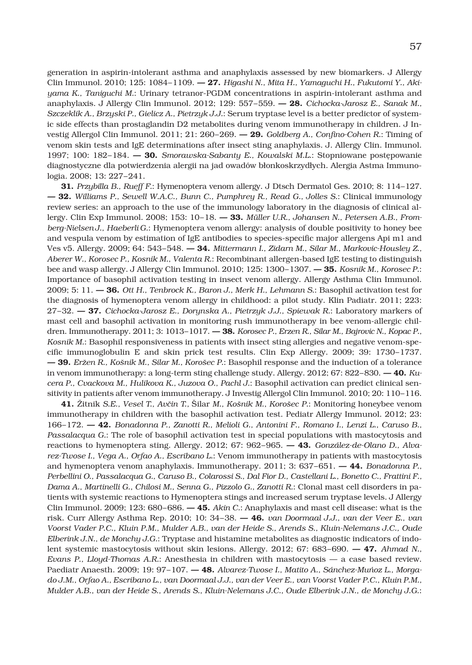generation in aspirin-intolerant asthma and anaphylaxis assessed by new biomarkers. J Allergy Clin Immunol. 2010; 125: 1084–1109. **— 27.** *Higashi N., Mita H., Yamaguchi H., Fukutomi Y., Akiyama K., Taniguchi M.*: Urinary tetranor-PGDM concentrations in aspirin-intolerant asthma and anaphylaxis. J Allergy Clin Immunol. 2012; 129: 557–559. **— 28.** *Cichocka-Jarosz E., Sanak M., Szczeklik A., Brzyski P., Gielicz A., Pietrzyk J.J.*: Serum tryptase level is a better predictor of systemic side effects than prostaglandin D2 metabolites during venom immunotherapy in children. J Investig Allergol Clin Immunol. 2011; 21: 260–269. **— 29.** *Goldberg A., Confino-Cohen R.*: Timing of venom skin tests and IgE determinations after insect sting anaphylaxis. J. Allergy Clin. Immunol. 1997; 100: 182–184. **— 30.** *Smorawska-Sabanty E., Kowalski M.L.*: Stopniowane postępowanie diagnostyczne dla potwierdzenia alergii na jad owadów błonkoskrzydłych. Alergia Astma Immunologia. 2008; 13: 227–241.

**31.** *Przybilla B., Rueff F.*: Hymenoptera venom allergy. J Dtsch Dermatol Ges. 2010; 8: 114–127. **— 32.** *Williams P., Sewell W.A.C., Bunn C., Pumphrey R., Read G., Jolles S.*: Clinical immunology review series: an approach to the use of the immunology laboratory in the diagnosis of clinical allergy. Clin Exp Immunol. 2008; 153: 10–18. **— 33.** *Müller U.R., Johansen N., Petersen A.B., Fromberg-Nielsen J., Haeberli G.*: Hymenoptera venom allergy: analysis of double positivity to honey bee and vespula venom by estimation of IgE antibodies to species-specific major allergens Api m1 and Ves v5. Allergy. 2009; 64: 543–548. **— 34.** *Mittermann I., Zidarn M., Silar M., Markovic-Housley Z., Aberer W., Korosec P., Kosnik M., Valenta R.*: Recombinant allergen-based IgE testing to distinguish bee and wasp allergy. J Allergy Clin Immunol. 2010; 125: 1300–1307. **— 35.** *Kosnik M., Korosec P.*: Importance of basophil activation testing in insect venom allergy. Allergy Asthma Clin Immunol. 2009; 5: 11. **— 36.** *Ott H., Tenbrock K., Baron J., Merk H., Lehmann S.*: Basophil activation test for the diagnosis of hymenoptera venom allergy in childhood: a pilot study. Klin Padiatr. 2011; 223: 27–32. **— 37.** *Cichocka-Jarosz E., Dorynska A., Pietrzyk J.J., Spiewak R.*: Laboratory markers of mast cell and basophil activation in monitoring rush immunotherapy in bee venom-allergic children. Immunotherapy. 2011; 3: 1013–1017. **— 38.** *Korosec P., Erzen R., Silar M., Bajrovic N., Kopac P., Kosnik M.*: Basophil responsiveness in patients with insect sting allergies and negative venom-specific immunoglobulin E and skin prick test results. Clin Exp Allergy. 2009; 39: 1730–1737. **— 39.** *Eržen R., Košnik M., Silar M., Korošec P.*: Basophil response and the induction of a tolerance in venom immunotherapy: a long-term sting challenge study. Allergy. 2012; 67: 822–830. **— 40.** *Kucera P., Cvackova M., Hulikova K., Juzova O., Pachl J.*: Basophil activation can predict clinical sensitivity in patients after venom immunotherapy. J Investig Allergol Clin Immunol. 2010; 20: 110–116.

**41.** Žitnik *S.E., Vesel T., Avčin T.,* Šilar *M., Košnik M., Korošec P.*: Monitoring honeybee venom immunotherapy in children with the basophil activation test. Pediatr Allergy Immunol. 2012; 23: 166–172. **— 42.** *Bonadonna P., Zanotti R., Melioli G., Antonini F., Romano I., Lenzi L., Caruso B., Passalacqua G.*: The role of basophil activation test in special populations with mastocytosis and reactions to hymenoptera sting. Allergy. 2012; 67: 962–965. **— 43.** *González-de-Olano D., Alvarez-Twose I., Vega A., Orfao A., Escribano L.*: Venom immunotherapy in patients with mastocytosis and hymenoptera venom anaphylaxis. Immunotherapy. 2011; 3: 637–651. **— 44.** *Bonadonna P., Perbellini O., Passalacqua G., Caruso B., Colarossi S., Dal Fior D., Castellani L., Bonetto C., Frattini F., Dama A., Martinelli G., Chilosi M., Senna G., Pizzolo G., Zanotti R.*: Clonal mast cell disorders in patients with systemic reactions to Hymenoptera stings and increased serum tryptase levels. J Allergy Clin Immunol. 2009; 123: 680–686. **— 45.** *Akin C.*: Anaphylaxis and mast cell disease: what is the risk. Curr Allergy Asthma Rep. 2010; 10: 34–38. **— 46.** *van Doormaal J.J., van der Veer E., van Voorst Vader P.C., Kluin P.M., Mulder A.B., van der Heide S., Arends S., Kluin-Nelemans J.C., Oude Elberink J.N., de Monchy J.G.*: Tryptase and histamine metabolites as diagnostic indicators of indolent systemic mastocytosis without skin lesions. Allergy. 2012; 67: 683–690. **— 47.** *Ahmad N., Evans P., Lloyd-Thomas A.R.*: Anesthesia in children with mastocytosis — a case based review. Paediatr Anaesth. 2009; 19: 97–107. **— 48.** *Alvarez-Twose I., Matito A., Sánchez-Muñoz L., Morgado J.M., Orfao A., Escribano L., van Doormaal J.J., van der Veer E., van Voorst Vader P.C., Kluin P.M., Mulder A.B., van der Heide S., Arends S., Kluin-Nelemans J.C., Oude Elberink J.N., de Monchy J.G.*: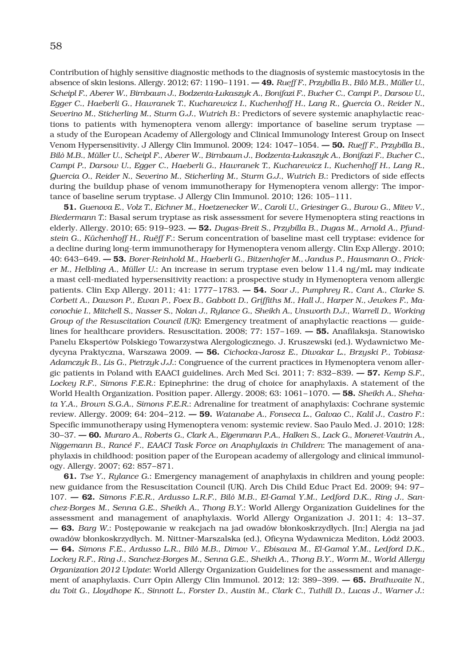Contribution of highly sensitive diagnostic methods to the diagnosis of systemic mastocytosis in the absence of skin lesions. Allergy. 2012; 67: 1190–1191. **— 49.** *Rueff F., Przybilla B., Bilò M.B., Müller U., Scheipl F., Aberer W., Birnbaum J., Bodzenta-Łukaszyk A., Bonifazi F., Bucher C., Campi P., Darsow U., Egger C., Haeberli G., Hawranek T., Kucharewicz I., Kuchenhoff H., Lang R., Quercia O., Reider N., Severino M., Sticherling M., Sturm G.J., Wutrich B.*: Predictors of severe systemic anaphylactic reactions to patients with hymenoptera venom allergy: importance of baseline serum tryptase a study of the European Academy of Allergology and Clinical Immunology Interest Group on Insect Venom Hypersensitivity. J Allergy Clin Immunol. 2009; 124: 1047–1054. **— 50.** *Rueff F., Przybilla B., Bilò M.B., Müller U., Scheipl F., Aberer W., Birnbaum J., Bodzenta-Łukaszyk A., Bonifazi F., Bucher C., Campi P., Darsow U., Egger C., Haeberli G., Hawranek T., Kucharewicz I., Kuchenhoff H., Lang R., Quercia O., Reider N., Severino M., Sticherling M., Sturm G.J., Wutrich B.*: Predictors of side effects during the buildup phase of venom immunotherapy for Hymenoptera venom allergy: The importance of baseline serum tryptase. J Allergy Clin Immunol. 2010; 126: 105–111.

**51.** *Guenova E., Volz T., Eichner M., Hoetzenecker W., Caroli U., Griesinger G., Burow G., Mitev V., Biedermann T.*: Basal serum tryptase as risk assessment for severe Hymenoptera sting reactions in elderly. Allergy. 2010; 65: 919–923. **— 52.** *Dugas-Breit S., Przybilla B., Dugas M., Arnold A., Pfundstein G., Küchenhoff H., Ruëff F.*: Serum concentration of baseline mast cell tryptase: evidence for a decline during long-term immunotherapy for Hymenoptera venom allergy. Clin Exp Allergy. 2010; 40: 643–649. **— 53.** *Borer-Reinhold M., Haeberli G., Bitzenhofer M., Jandus P., Hausmann O., Fricker M., Helbling A., Müller U.*: An increase in serum tryptase even below 11.4 ng/mL may indicate a mast cell-mediated hypersensitivity reaction: a prospective study in Hymenoptera venom allergic patients. Clin Exp Allergy. 2011; 41: 1777–1783. **— 54.** *Soar J., Pumphrey R., Cant A., Clarke S. Corbett A., Dawson P., Ewan P., Foex B., Gabbott D., Griffiths M., Hall J., Harper N., Jewkes F., Maconochie I., Mitchell S., Nasser S., Nolan J., Rylance G., Sheikh A., Unsworth D.J., Warrell D., Working Group of the Resuscitation Council (UK)*: Emergency treatment of anaphylactic reactions — guidelines for healthcare providers. Resuscitation. 2008; 77: 157–169. **— 55.** Anafilaksja. Stanowisko Panelu Ekspertów Polskiego Towarzystwa Alergologicznego. J. Kruszewski (ed.). Wydawnictwo Medycyna Praktyczna, Warszawa 2009. **— 56.** *Cichocka-Jarosz E., Diwakar L., Brzyski P., Tobiasz-Adamczyk B., Lis G., Pietrzyk J.J.*: Congruence of the current practices in Hymenoptera venom allergic patients in Poland with EAACI guidelines. Arch Med Sci. 2011; 7: 832–839. **— 57.** *Kemp S.F., Lockey R.F., Simons F.E.R.*: Epinephrine: the drug of choice for anaphylaxis. A statement of the World Health Organization. Position paper. Allergy. 2008; 63: 1061–1070. **— 58.** *Sheikh A., Shehata Y.A., Brown S.G.A., Simons F.E.R.*: Adrenaline for treatment of anaphylaxis: Cochrane systemic review. Allergy. 2009; 64: 204–212. **— 59.** *Watanabe A., Fonseca L., Galvao C., Kalil J., Castro F.*: Specific immunotherapy using Hymenoptera venom: systemic review. Sao Paulo Med. J. 2010; 128: 30–37. **— 60.** *Muraro A., Roberts G., Clark A., Eigenmann P.A., Halken S., Lack G., Moneret-Vautrin A., Niggemann B., Rancé F., EAACI Task Force on Anaphylaxis in Children*: The management of anaphylaxis in childhood: position paper of the European academy of allergology and clinical immunology. Allergy. 2007; 62: 857–871.

**61.** *Tse Y., Rylance G.*: Emergency management of anaphylaxis in children and young people: new guidance from the Resuscitation Council (UK). Arch Dis Child Educ Pract Ed. 2009; 94: 97– 107. **— 62.** *Simons F.E.R., Ardusso L.R.F., Bilò M.B., El-Gamal Y.M., Ledford D.K., Ring J., Sanchez-Borges M., Senna G.E., Sheikh A., Thong B.Y.*: World Allergy Organization Guidelines for the assessment and management of anaphylaxis. World Allergy Organization J. 2011; 4: 13–37. **— 63.** *Barg W.*: Postępowanie w reakcjach na jad owadów błonkoskrzydłych. [In:] Alergia na jad owadów błonkoskrzydłych. M. Nittner-Marszalska (ed.), Oficyna Wydawnicza Mediton, Łódź 2003. **— 64.** *Simons F.E., Ardusso L.R., Bilò M.B., Dimov V., Ebisawa M., El-Gamal Y.M., Ledford D.K., Lockey R.F., Ring J., Sanchez-Borges M., Senna G.E., Sheikh A., Thong B.Y., Worm M., World Allergy Organization 2012 Update*: World Allergy Organization Guidelines for the assessment and management of anaphylaxis. Curr Opin Allergy Clin Immunol. 2012; 12: 389–399. **— 65.** *Brathwaite N., du Toit G., Lloydhope K., Sinnott L., Forster D., Austin M., Clark C., Tuthill D., Lucas J., Warner J.*: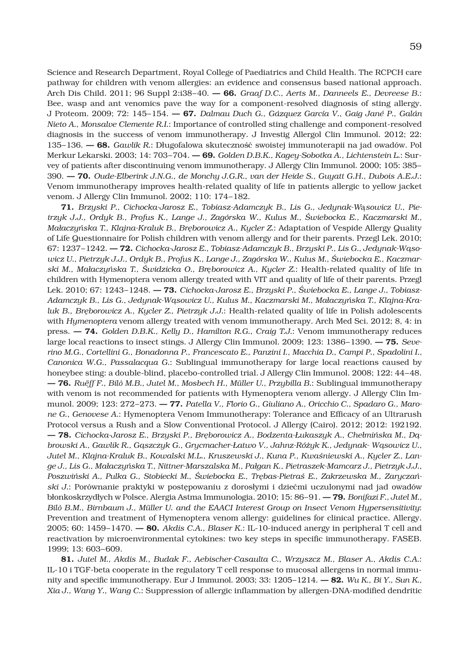Science and Research Department, Royal College of Paediatrics and Child Health. The RCPCH care pathway for children with venom allergies: an evidence and consensus based national approach. Arch Dis Child. 2011; 96 Suppl 2:i38–40. **— 66.** *Graaf D.C., Aerts M., Danneels E., Devreese B.*: Bee, wasp and ant venomics pave the way for a component-resolved diagnosis of sting allergy. J Proteom. 2009; 72: 145–154. **— 67.** *Dalmau Duch G., Gázquez García V., Gaig Jané P., Galán Nieto A., Monsalve Clemente R.I.*: Importance of controlled sting challenge and component-resolved diagnosis in the success of venom immunotherapy. J Investig Allergol Clin Immunol. 2012; 22: 135–136. **— 68.** *Gawlik R.*: Długofalowa skuteczność swoistej immunoterapii na jad owadów. Pol Merkur Lekarski. 2003; 14: 703–704. **— 69.** *Golden D.B.K., Kagey-Sobotka A., Lichtenstein L.*: Survey of patients after discontinuing venom immunotherapy. J Allergy Clin Immunol. 2000; 105: 385– 390. **— 70.** *Oude-Elberink J.N.G., de Monchy J.G.R., van der Heide S., Guyatt G.H., Dubois A.E.J.*: Venom immunotherapy improves health-related quality of life in patients allergic to yellow jacket venom. J Allergy Clin Immunol. 2002; 110: 174–182.

**71.** *Brzyski P., Cichocka-Jarosz E., Tobiasz-Adamczyk B., Lis G., Jedynak-W*ą*sowicz U., Pietrzyk J.J., Ordyk B., Profus K., Lange J., Zagórska W., Kulus M., Świebocka E., Kaczmarski M., Małaczyńska T., Klajna-Kraluk B., Bręborowicz A., Kycler Z.*: Adaptation of Vespide Allergy Quality of Life Questionnaire for Polish children with venom allergy and for their parents. Przegl Lek. 2010; 67: 1237–1242. **— 72.** *Cichocka-Jarosz E., Tobiasz-Adamczyk B., Brzyski P., Lis G., Jedynak-Wąsowicz U., Pietrzyk J.J., Ordyk B., Profus K., Lange J., Zagórska W., Kulus M., Świebocka E., Kaczmarski M., Małaczyńska T., Świdzicka O., Br*ę*borowicz A., Kycler Z.*: Health-related quality of life in children with Hymenoptera venom allergy treated with VIT and quality of life of their parents. Przegl Lek. 2010; 67: 1243–1248. **— 73.** *Cichocka-Jarosz E., Brzyski P., Świebocka E., Lange J., Tobiasz-Adamczyk B., Lis G., Jedynak-Wąsowicz U., Kulus M., Kaczmarski M., Małaczyńska T., Klajna-Kraluk B., Bręborowicz A., Kycler Z., Pietrzyk J.J.*: Health-related quality of life in Polish adolescents with *Hymenoptera* venom allergy treated with venom immunotherapy. Arch Med Sci. 2012; 8, 4: in press. **— 74.** *Golden D.B.K., Kelly D., Hamilton R.G., Craig T.J.*: Venom immunotherapy reduces large local reactions to insect stings. J Allergy Clin Immunol. 2009; 123: 1386–1390. **— 75.** *Severino M.G., Cortellini G., Bonadonna P., Francescato E., Panzini I., Macchia D., Campi P., Spadolini I., Canonica W.G., Passalacqua G.*: Sublingual immunotherapy for large local reactions caused by honeybee sting: a double-blind, placebo-controlled trial. J Allergy Clin Immunol. 2008; 122: 44–48. **— 76.** *Ruëff F., Bilò M.B., Jutel M., Mosbech H., Müller U., Przybilla B.*: Sublingual immunotherapy with venom is not recommended for patients with Hymenoptera venom allergy. J Allergy Clin Immunol. 2009; 123: 272–273. **— 77.** *Patella V., Florio G., Giuliano A., Oricchio C., Spadaro G., Marone G., Genovese A.*: Hymenoptera Venom Immunotherapy: Tolerance and Efficacy of an Ultrarush Protocol versus a Rush and a Slow Conventional Protocol. J Allergy (Cairo). 2012; 2012: 192192. **— 78.** *Cichocka-Jarosz E., Brzyski P., Bręborowicz A., Bodzenta-Łukaszyk A., Chełmińska M., Dąbrowski A., Gawlik R., Gąszczyk G., Grycmacher-Łatwo V., Jahnz-Różyk K., Jedynak- Wąsowicz U., Jutel M., Klajna-Kraluk B., Kowalski M.L., Kruszewski J., Kuna P., Kwaśniewski A., Kycler Z., Lange J., Lis G., Małaczyńska T., Nittner-Marszalska M., Pałgan K., Pietraszek-Mamcarz J., Pietrzyk J.J., Poszwiński A., Pulka G., Stobiecki M., Świebocka E., Trębas-Pietraś E., Zakrzewska M., Zaryczański J.*: Porównanie praktyki w postępowaniu z dorosłymi i dziećmi uczulonymi nad jad owadów błonkoskrzydłych w Polsce. Alergia Astma Immunologia. 2010; 15: 86–91. **— 79.** *Bonifazi F., Jutel M., Bilò B.M., Birnbaum J., Müller U. and the EAACI Interest Group on Insect Venom Hypersensitivity*: Prevention and treatment of Hymenoptera venom allergy: guidelines for clinical practice. Allergy. 2005; 60: 1459–1470. **— 80.** *Akdis C.A., Blaser K.*: IL-10-induced anergy in peripheral T cell and reactivation by microenvironmental cytokines: two key steps in specific immunotherapy. FASEB. 1999; 13: 603–609.

**81.** *Jutel M., Akdis M., Budak F., Aebischer-Casaulta C., Wrzyszcz M., Blaser A., Akdis C.A.*: IL-10 i TGF-beta cooperate in the regulatory T cell response to mucosal allergens in normal immunity and specific immunotherapy. Eur J Immunol. 2003; 33: 1205–1214. **— 82.** *Wu K., Bi Y., Sun K., Xia J., Wang Y., Wang C.*: Suppression of allergic inflammation by allergen-DNA-modified dendritic